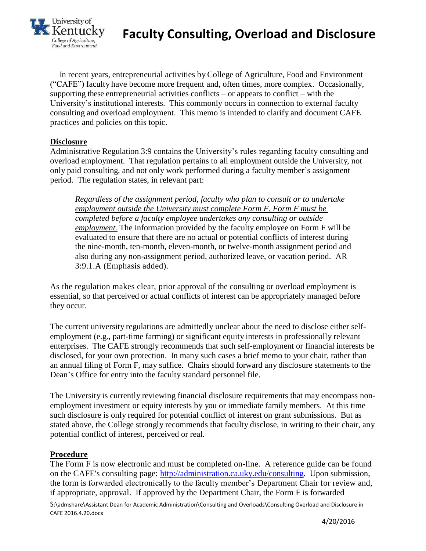

### **Faculty Consulting, Overload and Disclosure**

 In recent years, entrepreneurial activities by College of Agriculture, Food and Environment ("CAFE") faculty have become more frequent and, often times, more complex. Occasionally, supporting these entrepreneurial activities conflicts – or appears to conflict – with the University's institutional interests. This commonly occurs in connection to external faculty consulting and overload employment. This memo is intended to clarify and document CAFE practices and policies on this topic.

#### **Disclosure**

Administrative Regulation 3:9 contains the University's rules regarding faculty consulting and overload employment. That regulation pertains to all employment outside the University, not only paid consulting, and not only work performed during a faculty member's assignment period. The regulation states, in relevant part:

*Regardless of the assignment period, faculty who plan to consult or to undertake employment outside the University must complete Form F. Form F must be completed before a faculty employee undertakes any consulting or outside employment.* The information provided by the faculty employee on Form F will be evaluated to ensure that there are no actual or potential conflicts of interest during the nine-month, ten-month, eleven-month, or twelve-month assignment period and also during any non-assignment period, authorized leave, or vacation period. AR 3:9.1.A (Emphasis added).

As the regulation makes clear, prior approval of the consulting or overload employment is essential, so that perceived or actual conflicts of interest can be appropriately managed before they occur.

The current university regulations are admittedly unclear about the need to disclose either selfemployment (e.g., part-time farming) or significant equity interests in professionally relevant enterprises. The CAFE strongly recommends that such self-employment or financial interests be disclosed, for your own protection. In many such cases a brief memo to your chair, rather than an annual filing of Form F, may suffice. Chairs should forward any disclosure statements to the Dean's Office for entry into the faculty standard personnel file.

The University is currently reviewing financial disclosure requirements that may encompass nonemployment investment or equity interests by you or immediate family members. At this time such disclosure is only required for potential conflict of interest on grant submissions. But as stated above, the College strongly recommends that faculty disclose, in writing to their chair, any potential conflict of interest, perceived or real.

#### **Procedure**

The Form F is now electronic and must be completed on-line. A reference guide can be found on the CAFE's consulting page: [http://administration.ca.uky.edu/consulting.](http://administration.ca.uky.edu/consulting) Upon submission, the form is forwarded electronically to the faculty member's Department Chair for review and, if appropriate, approval. If approved by the Department Chair, the Form F is forwarded

S:\admshare\Assistant Dean for Academic Administration\Consulting and Overloads\Consulting Overload and Disclosure in CAFE 2016.4.20.docx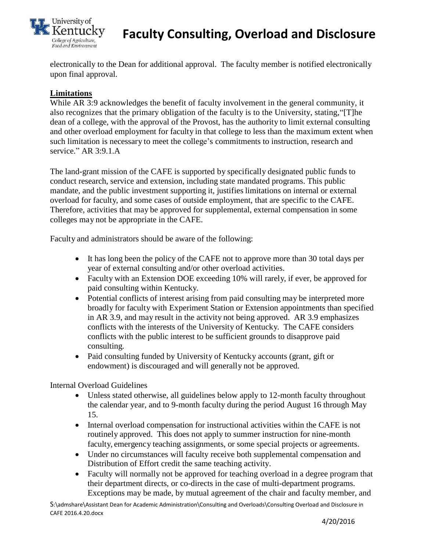

## **Faculty Consulting, Overload and Disclosure**

electronically to the Dean for additional approval. The faculty member is notified electronically upon final approval.

### **Limitations**

While AR 3:9 acknowledges the benefit of faculty involvement in the general community, it also recognizes that the primary obligation of the faculty is to the University, stating,"[T]he dean of a college, with the approval of the Provost, has the authority to limit external consulting and other overload employment for faculty in that college to less than the maximum extent when such limitation is necessary to meet the college's commitments to instruction, research and service." AR 3:9.1.A

The land-grant mission of the CAFE is supported by specifically designated public funds to conduct research, service and extension, including state mandated programs. This public mandate, and the public investment supporting it, justifies limitations on internal or external overload for faculty, and some cases of outside employment, that are specific to the CAFE. Therefore, activities that may be approved for supplemental, external compensation in some colleges may not be appropriate in the CAFE.

Faculty and administrators should be aware of the following:

- It has long been the policy of the CAFE not to approve more than 30 total days per year of external consulting and/or other overload activities.
- Faculty with an Extension DOE exceeding 10% will rarely, if ever, be approved for paid consulting within Kentucky.
- Potential conflicts of interest arising from paid consulting may be interpreted more broadly for faculty with Experiment Station or Extension appointments than specified in AR 3.9, and may result in the activity not being approved. AR 3.9 emphasizes conflicts with the interests of the University of Kentucky. The CAFE considers conflicts with the public interest to be sufficient grounds to disapprove paid consulting.
- Paid consulting funded by University of Kentucky accounts (grant, gift or endowment) is discouraged and will generally not be approved.

Internal Overload Guidelines

- Unless stated otherwise, all guidelines below apply to 12-month faculty throughout the calendar year, and to 9-month faculty during the period August 16 through May 15.
- Internal overload compensation for instructional activities within the CAFE is not routinely approved. This does not apply to summer instruction for nine-month faculty, emergency teaching assignments, or some special projects or agreements.
- Under no circumstances will faculty receive both supplemental compensation and Distribution of Effort credit the same teaching activity.
- Faculty will normally not be approved for teaching overload in a degree program that their department directs, or co-directs in the case of multi-department programs. Exceptions may be made, by mutual agreement of the chair and faculty member, and

S:\admshare\Assistant Dean for Academic Administration\Consulting and Overloads\Consulting Overload and Disclosure in CAFE 2016.4.20.docx